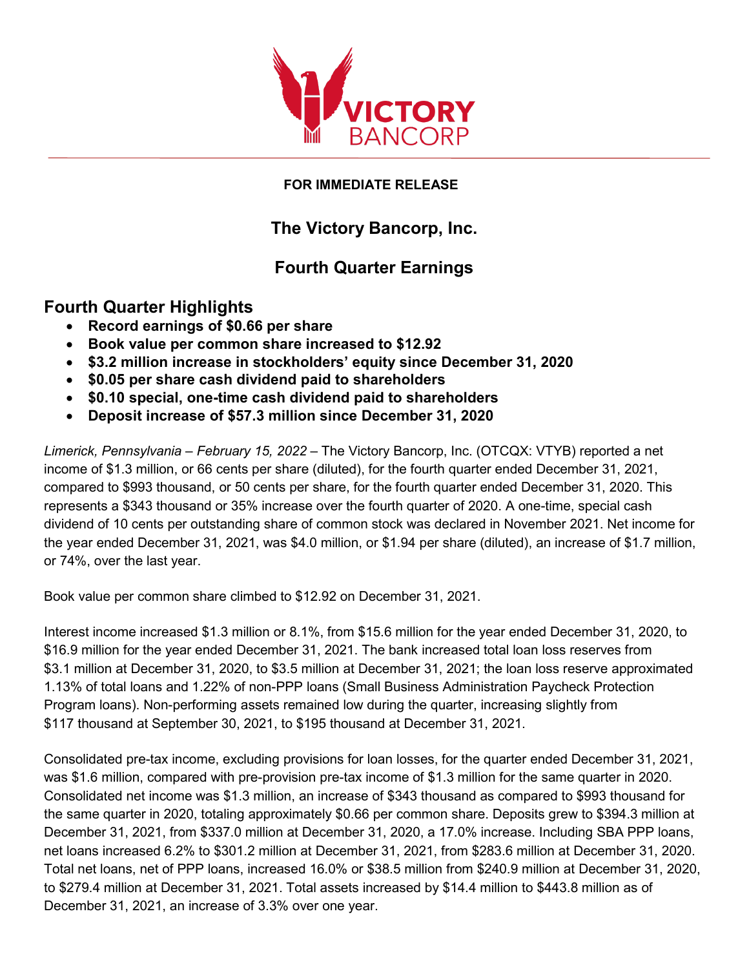

#### **FOR IMMEDIATE RELEASE**

# **The Victory Bancorp, Inc.**

## **Fourth Quarter Earnings**

### **Fourth Quarter Highlights**

- **Record earnings of \$0.66 per share**
- **Book value per common share increased to \$12.92**
- **\$3.2 million increase in stockholders' equity since December 31, 2020**
- **\$0.05 per share cash dividend paid to shareholders**
- **\$0.10 special, one-time cash dividend paid to shareholders**
- **Deposit increase of \$57.3 million since December 31, 2020**

 *Limerick, Pennsylvania – February 15, 2022* – The Victory Bancorp, Inc. (OTCQX: VTYB) reported a net income of \$1.3 million, or 66 cents per share (diluted), for the fourth quarter ended December 31, 2021, compared to \$993 thousand, or 50 cents per share, for the fourth quarter ended December 31, 2020. This dividend of 10 cents per outstanding share of common stock was declared in November 2021. Net income for represents a \$343 thousand or 35% increase over the fourth quarter of 2020. A one-time, special cash the year ended December 31, 2021, was \$4.0 million, or \$1.94 per share (diluted), an increase of \$1.7 million, or 74%, over the last year.

Book value per common share climbed to \$12.92 on December 31, 2021.

 \$16.9 million for the year ended December 31, 2021. The bank increased total loan loss reserves from Program loans). Non-performing assets remained low during the quarter, increasing slightly from Interest income increased \$1.3 million or 8.1%, from \$15.6 million for the year ended December 31, 2020, to \$3.1 million at December 31, 2020, to \$3.5 million at December 31, 2021; the loan loss reserve approximated 1.13% of total loans and 1.22% of non-PPP loans (Small Business Administration Paycheck Protection \$117 thousand at September 30, 2021, to \$195 thousand at December 31, 2021.

 Consolidated pre-tax income, excluding provisions for loan losses, for the quarter ended December 31, 2021, was \$1.6 million, compared with pre-provision pre-tax income of \$1.3 million for the same quarter in 2020. the same quarter in 2020, totaling approximately \$0.66 per common share. Deposits grew to \$394.3 million at December 31, 2021, from \$337.0 million at December 31, 2020, a 17.0% increase. Including SBA PPP loans, December 31, 2021, an increase of 3.3% over one year. Consolidated net income was \$1.3 million, an increase of \$343 thousand as compared to \$993 thousand for net loans increased 6.2% to \$301.2 million at December 31, 2021, from \$283.6 million at December 31, 2020. Total net loans, net of PPP loans, increased 16.0% or \$38.5 million from \$240.9 million at December 31, 2020, to \$279.4 million at December 31, 2021. Total assets increased by \$14.4 million to \$443.8 million as of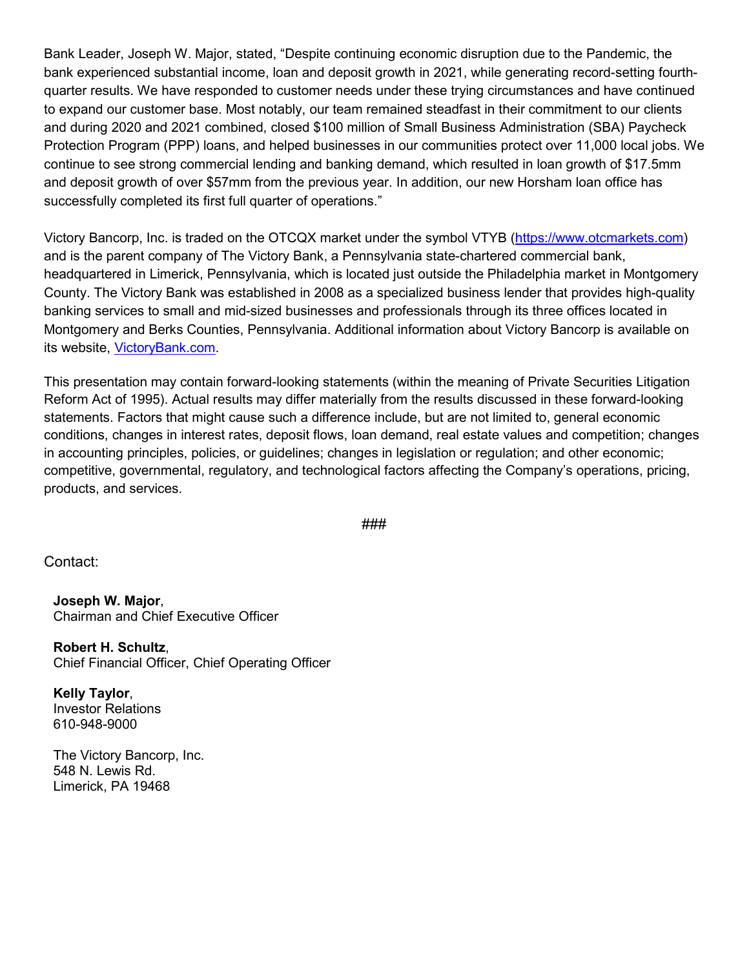to expand our customer base. Most notably, our team remained steadfast in their commitment to our clients and deposit growth of over \$57mm from the previous year. In addition, our new Horsham loan office has successfully completed its first full quarter of operations." Bank Leader, Joseph W. Major, stated, "Despite continuing economic disruption due to the Pandemic, the bank experienced substantial income, loan and deposit growth in 2021, while generating record-setting fourthquarter results. We have responded to customer needs under these trying circumstances and have continued and during 2020 and 2021 combined, closed \$100 million of Small Business Administration (SBA) Paycheck Protection Program (PPP) loans, and helped businesses in our communities protect over 11,000 local jobs. We continue to see strong commercial lending and banking demand, which resulted in loan growth of \$17.5mm

Victory Bancorp, Inc. is traded on the OTCQX market under the symbol VTYB (<u>https://www.otcmarkets.com</u>) County. The Victory Bank was established in 2008 as a specialized business lender that provides high-quality and is the parent company of The Victory Bank, a Pennsylvania state-chartered commercial bank, headquartered in Limerick, Pennsylvania, which is located just outside the Philadelphia market in Montgomery banking services to small and mid-sized businesses and professionals through its three offices located in Montgomery and Berks Counties, Pennsylvania. Additional information about Victory Bancorp is available on its website, [VictoryBank.com.](https://www.victorybank.com/)

 statements. Factors that might cause such a difference include, but are not limited to, general economic in accounting principles, policies, or guidelines; changes in legislation or regulation; and other economic; This presentation may contain forward-looking statements (within the meaning of Private Securities Litigation Reform Act of 1995). Actual results may differ materially from the results discussed in these forward-looking conditions, changes in interest rates, deposit flows, loan demand, real estate values and competition; changes competitive, governmental, regulatory, and technological factors affecting the Company's operations, pricing, products, and services.

###

Contact:

**Joseph W. Major**, Chairman and Chief Executive Officer

**Robert H. Schultz**, Chief Financial Officer, Chief Operating Officer

**Kelly Taylor**, Investor Relations 610-948-9000

The Victory Bancorp, Inc. 548 N. Lewis Rd. Limerick, PA 19468